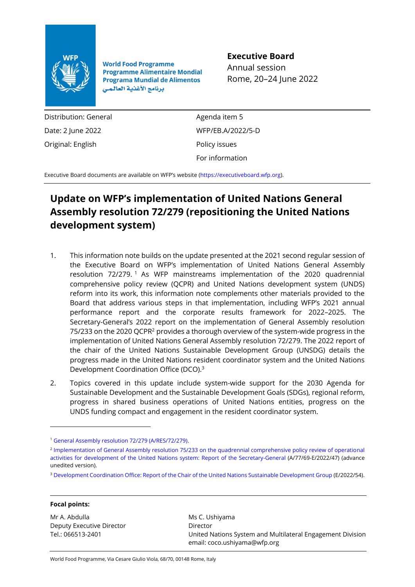

**World Food Programme Programme Alimentaire Mondial Programa Mundial de Alimentos** برنامج الأغذية العالمي

## **Executive Board**

Annual session Rome, 20–24 June 2022

Distribution: General Date: 2 June 2022 Original: English

Agenda item 5 WFP/EB.A/2022/5-D Policy issues For information

Executive Board documents are available on WFP's website [\(https://executiveboard.wfp.org\)](https://executiveboard.wfp.org/).

# **Update on WFP's implementation of United Nations General Assembly resolution 72/279 (repositioning the United Nations development system)**

- 1. This information note builds on the update presented at the 2021 second regular session of the Executive Board on WFP's implementation of United Nations General Assembly resolution 72/279. <sup>1</sup> As WFP mainstreams implementation of the 2020 quadrennial comprehensive policy review (QCPR) and United Nations development system (UNDS) reform into its work, this information note complements other materials provided to the Board that address various steps in that implementation, including WFP's 2021 annual performance report and the corporate results framework for 2022–2025. The Secretary-General's 2022 report on the implementation of General Assembly resolution 75/233 on the 2020 QCPR<sup>2</sup> provides a thorough overview of the system-wide progress in the implementation of United Nations General Assembly resolution 72/279. The 2022 report of the chair of the United Nations Sustainable Development Group (UNSDG) details the progress made in the United Nations resident coordinator system and the United Nations Development Coordination Office (DCO).<sup>3</sup>
- 2. Topics covered in this update include system-wide support for the 2030 Agenda for Sustainable Development and the Sustainable Development Goals (SDGs), regional reform, progress in shared business operations of United Nations entities, progress on the UNDS funding compact and engagement in the resident coordinator system.

<sup>3</sup> [Development Coordination Office: Report of the Chair of the United Nations Sustainable Development Group](https://www.un.org/ecosoc/sites/www.un.org.ecosoc/files/files/en/qcpr/2022/2022-UNSDG-Chair-Report-on-DCO-Advanced-unedited-version.pdf) (E/2022/54).

#### **Focal points:**

Mr A. Abdulla Deputy Executive Director Tel.: 066513-2401

Ms C. Ushiyama Director United Nations System and Multilateral Engagement Division email: coco.ushiyama@wfp.org

World Food Programme, Via Cesare Giulio Viola, 68/70, 00148 Rome, Italy

<sup>1</sup> [General Assembly resolution 72/279 \(A/RES/72/279\).](https://documents-dds-ny.un.org/doc/UNDOC/GEN/N18/167/23/PDF/N1816723.pdf?OpenElement)

<sup>&</sup>lt;sup>2</sup> Implementation of General Assembly resolution 75/233 on the quadrennial comprehensive policy review of operational [activities for development of the United Nations system: Report of the Secretary-General](https://www.un.org/ecosoc/sites/www.un.org.ecosoc/files/files/en/qcpr/2022/2022-SG-report-on-the-QCPR-Advance-unedited-version.pdf) (A/77/69-E/2022/47) (advance unedited version).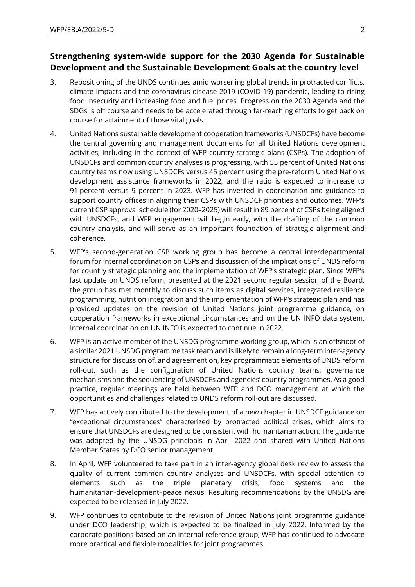# **Strengthening system-wide support for the 2030 Agenda for Sustainable Development and the Sustainable Development Goals at the country level**

- 3. Repositioning of the UNDS continues amid worsening global trends in protracted conflicts, climate impacts and the coronavirus disease 2019 (COVID-19) pandemic, leading to rising food insecurity and increasing food and fuel prices. Progress on the 2030 Agenda and the SDGs is off course and needs to be accelerated through far-reaching efforts to get back on course for attainment of those vital goals.
- 4. United Nations sustainable development cooperation frameworks (UNSDCFs) have become the central governing and management documents for all United Nations development activities, including in the context of WFP country strategic plans (CSPs). The adoption of UNSDCFs and common country analyses is progressing, with 55 percent of United Nations country teams now using UNSDCFs versus 45 percent using the pre-reform United Nations development assistance frameworks in 2022, and the ratio is expected to increase to 91 percent versus 9 percent in 2023. WFP has invested in coordination and guidance to support country offices in aligning their CSPs with UNSDCF priorities and outcomes. WFP's current CSP approval schedule (for 2020–2025) will result in 89 percent of CSPs being aligned with UNSDCFs, and WFP engagement will begin early, with the drafting of the common country analysis, and will serve as an important foundation of strategic alignment and coherence.
- 5. WFP's second-generation CSP working group has become a central interdepartmental forum for internal coordination on CSPs and discussion of the implications of UNDS reform for country strategic planning and the implementation of WFP's strategic plan. Since WFP's last update on UNDS reform, presented at the 2021 second regular session of the Board, the group has met monthly to discuss such items as digital services, integrated resilience programming, nutrition integration and the implementation of WFP's strategic plan and has provided updates on the revision of United Nations joint programme guidance, on cooperation frameworks in exceptional circumstances and on the UN INFO data system. Internal coordination on UN INFO is expected to continue in 2022.
- 6. WFP is an active member of the UNSDG programme working group, which is an offshoot of a similar 2021 UNSDG programme task team and is likely to remain a long-term inter-agency structure for discussion of, and agreement on, key programmatic elements of UNDS reform roll-out, such as the configuration of United Nations country teams, governance mechanisms and the sequencing of UNSDCFs and agencies' country programmes. As a good practice, regular meetings are held between WFP and DCO management at which the opportunities and challenges related to UNDS reform roll-out are discussed.
- 7. WFP has actively contributed to the development of a new chapter in UNSDCF guidance on "exceptional circumstances" characterized by protracted political crises, which aims to ensure that UNSDCFs are designed to be consistent with humanitarian action. The guidance was adopted by the UNSDG principals in April 2022 and shared with United Nations Member States by DCO senior management.
- 8. In April, WFP volunteered to take part in an inter-agency global desk review to assess the quality of current common country analyses and UNSDCFs, with special attention to elements such as the triple planetary crisis, food systems and the humanitarian-development–peace nexus. Resulting recommendations by the UNSDG are expected to be released in July 2022.
- 9. WFP continues to contribute to the revision of United Nations joint programme guidance under DCO leadership, which is expected to be finalized in July 2022. Informed by the corporate positions based on an internal reference group, WFP has continued to advocate more practical and flexible modalities for joint programmes.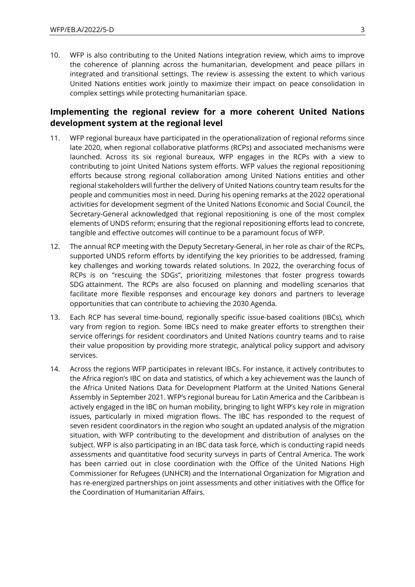10. WFP is also contributing to the United Nations integration review, which aims to improve the coherence of planning across the humanitarian, development and peace pillars in integrated and transitional settings. The review is assessing the extent to which various United Nations entities work jointly to maximize their impact on peace consolidation in complex settings while protecting humanitarian space.

## **Implementing the regional review for a more coherent United Nations development system at the regional level**

- 11. WFP regional bureaux have participated in the operationalization of regional reforms since late 2020, when regional collaborative platforms (RCPs) and associated mechanisms were launched. Across its six regional bureaux, WFP engages in the RCPs with a view to contributing to joint United Nations system efforts. WFP values the regional repositioning efforts because strong regional collaboration among United Nations entities and other regional stakeholders will further the delivery of United Nations country team results for the people and communities most in need. During his opening remarks at the 2022 operational activities for development segment of the United Nations Economic and Social Council, the Secretary-General acknowledged that regional repositioning is one of the most complex elements of UNDS reform; ensuring that the regional repositioning efforts lead to concrete, tangible and effective outcomes will continue to be a paramount focus of WFP.
- 12. The annual RCP meeting with the Deputy Secretary-General, in her role as chair of the RCPs, supported UNDS reform efforts by identifying the key priorities to be addressed, framing key challenges and working towards related solutions. In 2022, the overarching focus of RCPs is on "rescuing the SDGs", prioritizing milestones that foster progress towards SDG attainment. The RCPs are also focused on planning and modelling scenarios that facilitate more flexible responses and encourage key donors and partners to leverage opportunities that can contribute to achieving the 2030 Agenda.
- 13. Each RCP has several time-bound, regionally specific issue-based coalitions (IBCs), which vary from region to region. Some IBCs need to make greater efforts to strengthen their service offerings for resident coordinators and United Nations country teams and to raise their value proposition by providing more strategic, analytical policy support and advisory services.
- 14. Across the regions WFP participates in relevant IBCs. For instance, it actively contributes to the Africa region's IBC on data and statistics, of which a key achievement was the launch of the Africa United Nations Data for Development Platform at the United Nations General Assembly in September 2021. WFP's regional bureau for Latin America and the Caribbean is actively engaged in the IBC on human mobility, bringing to light WFP's key role in migration issues, particularly in mixed migration flows. The IBC has responded to the request of seven resident coordinators in the region who sought an updated analysis of the migration situation, with WFP contributing to the development and distribution of analyses on the subject. WFP is also participating in an IBC data task force, which is conducting rapid needs assessments and quantitative food security surveys in parts of Central America. The work has been carried out in close coordination with the Office of the United Nations High Commissioner for Refugees (UNHCR) and the International Organization for Migration and has re-energized partnerships on joint assessments and other initiatives with the Office for the Coordination of Humanitarian Affairs.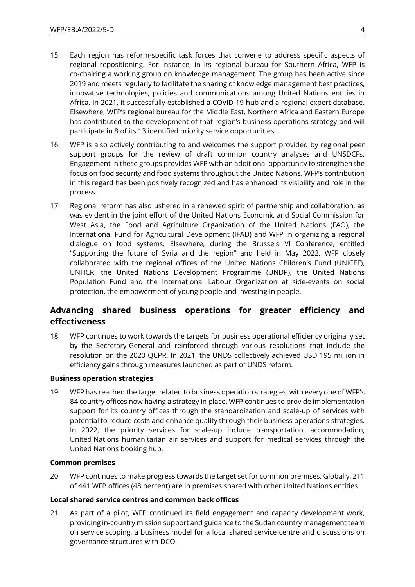- 15. Each region has reform-specific task forces that convene to address specific aspects of regional repositioning. For instance, in its regional bureau for Southern Africa, WFP is co-chairing a working group on knowledge management. The group has been active since 2019 and meets regularly to facilitate the sharing of knowledge management best practices, innovative technologies, policies and communications among United Nations entities in Africa. In 2021, it successfully established a COVID-19 hub and a regional expert database. Elsewhere, WFP's regional bureau for the Middle East, Northern Africa and Eastern Europe has contributed to the development of that region's business operations strategy and will participate in 8 of its 13 identified priority service opportunities.
- 16. WFP is also actively contributing to and welcomes the support provided by regional peer support groups for the review of draft common country analyses and UNSDCFs. Engagement in these groups provides WFP with an additional opportunity to strengthen the focus on food security and food systems throughout the United Nations. WFP's contribution in this regard has been positively recognized and has enhanced its visibility and role in the process.
- 17. Regional reform has also ushered in a renewed spirit of partnership and collaboration, as was evident in the joint effort of the United Nations Economic and Social Commission for West Asia, the Food and Agriculture Organization of the United Nations (FAO), the International Fund for Agricultural Development (IFAD) and WFP in organizing a regional dialogue on food systems. Elsewhere, during the Brussels VI Conference, entitled "Supporting the future of Syria and the region" and held in May 2022, WFP closely collaborated with the regional offices of the United Nations Children's Fund (UNICEF), UNHCR, the United Nations Development Programme (UNDP), the United Nations Population Fund and the International Labour Organization at side-events on social protection, the empowerment of young people and investing in people.

# **Advancing shared business operations for greater efficiency and effectiveness**

18. WFP continues to work towards the targets for business operational efficiency originally set by the Secretary-General and reinforced through various resolutions that include the resolution on the 2020 QCPR. In 2021, the UNDS collectively achieved USD 195 million in efficiency gains through measures launched as part of UNDS reform.

### **Business operation strategies**

19. WFP has reached the target related to business operation strategies, with every one of WFP's 84 country offices now having a strategy in place. WFP continues to provide implementation support for its country offices through the standardization and scale-up of services with potential to reduce costs and enhance quality through their business operations strategies. In 2022, the priority services for scale-up include transportation, accommodation, United Nations humanitarian air services and support for medical services through the United Nations booking hub.

### **Common premises**

20. WFP continues to make progress towards the target set for common premises. Globally, 211 of 441 WFP offices (48 percent) are in premises shared with other United Nations entities.

### **Local shared service centres and common back offices**

21. As part of a pilot, WFP continued its field engagement and capacity development work, providing in-country mission support and guidance to the Sudan country management team on service scoping, a business model for a local shared service centre and discussions on governance structures with DCO.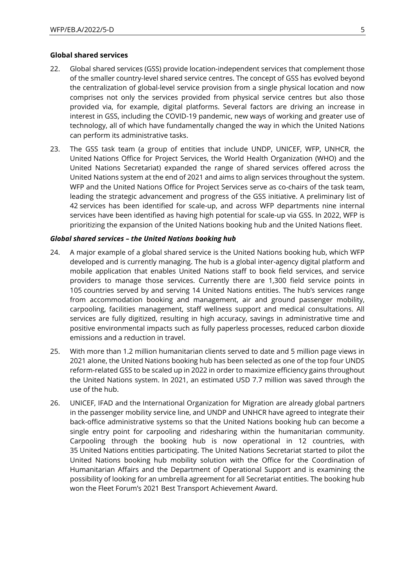#### **Global shared services**

- 22. Global shared services (GSS) provide location-independent services that complement those of the smaller country-level shared service centres. The concept of GSS has evolved beyond the centralization of global-level service provision from a single physical location and now comprises not only the services provided from physical service centres but also those provided via, for example, digital platforms. Several factors are driving an increase in interest in GSS, including the COVID-19 pandemic, new ways of working and greater use of technology, all of which have fundamentally changed the way in which the United Nations can perform its administrative tasks.
- 23. The GSS task team (a group of entities that include UNDP, UNICEF, WFP, UNHCR, the United Nations Office for Project Services, the World Health Organization (WHO) and the United Nations Secretariat) expanded the range of shared services offered across the United Nations system at the end of 2021 and aims to align services throughout the system. WFP and the United Nations Office for Project Services serve as co-chairs of the task team, leading the strategic advancement and progress of the GSS initiative. A preliminary list of 42 services has been identified for scale-up, and across WFP departments nine internal services have been identified as having high potential for scale-up via GSS. In 2022, WFP is prioritizing the expansion of the United Nations booking hub and the United Nations fleet.

#### *Global shared services – the United Nations booking hub*

- 24. A major example of a global shared service is the United Nations booking hub, which WFP developed and is currently managing. The hub is a global inter-agency digital platform and mobile application that enables United Nations staff to book field services, and service providers to manage those services. Currently there are 1,300 field service points in 105 countries served by and serving 14 United Nations entities. The hub's services range from accommodation booking and management, air and ground passenger mobility, carpooling, facilities management, staff wellness support and medical consultations. All services are fully digitized, resulting in high accuracy, savings in administrative time and positive environmental impacts such as fully paperless processes, reduced carbon dioxide emissions and a reduction in travel.
- 25. With more than 1.2 million humanitarian clients served to date and 5 million page views in 2021 alone, the United Nations booking hub has been selected as one of the top four UNDS reform-related GSS to be scaled up in 2022 in order to maximize efficiency gains throughout the United Nations system. In 2021, an estimated USD 7.7 million was saved through the use of the hub.
- 26. UNICEF, IFAD and the International Organization for Migration are already global partners in the passenger mobility service line, and UNDP and UNHCR have agreed to integrate their back-office administrative systems so that the United Nations booking hub can become a single entry point for carpooling and ridesharing within the humanitarian community. Carpooling through the booking hub is now operational in 12 countries, with 35 United Nations entities participating. The United Nations Secretariat started to pilot the United Nations booking hub mobility solution with the Office for the Coordination of Humanitarian Affairs and the Department of Operational Support and is examining the possibility of looking for an umbrella agreement for all Secretariat entities. The booking hub won the Fleet Forum's 2021 Best Transport Achievement Award.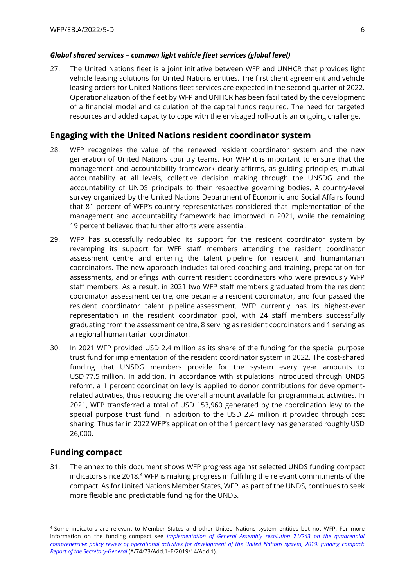### *Global shared services – common light vehicle fleet services (global level)*

27. The United Nations fleet is a joint initiative between WFP and UNHCR that provides light vehicle leasing solutions for United Nations entities. The first client agreement and vehicle leasing orders for United Nations fleet services are expected in the second quarter of 2022. Operationalization of the fleet by WFP and UNHCR has been facilitated by the development of a financial model and calculation of the capital funds required. The need for targeted resources and added capacity to cope with the envisaged roll-out is an ongoing challenge.

### **Engaging with the United Nations resident coordinator system**

- 28. WFP recognizes the value of the renewed resident coordinator system and the new generation of United Nations country teams. For WFP it is important to ensure that the management and accountability framework clearly affirms, as guiding principles, mutual accountability at all levels, collective decision making through the UNSDG and the accountability of UNDS principals to their respective governing bodies. A country-level survey organized by the United Nations Department of Economic and Social Affairs found that 81 percent of WFP's country representatives considered that implementation of the management and accountability framework had improved in 2021, while the remaining 19 percent believed that further efforts were essential.
- 29. WFP has successfully redoubled its support for the resident coordinator system by revamping its support for WFP staff members attending the resident coordinator assessment centre and entering the talent pipeline for resident and humanitarian coordinators. The new approach includes tailored coaching and training, preparation for assessments, and briefings with current resident coordinators who were previously WFP staff members. As a result, in 2021 two WFP staff members graduated from the resident coordinator assessment centre, one became a resident coordinator, and four passed the resident coordinator talent pipeline assessment. WFP currently has its highest-ever representation in the resident coordinator pool, with 24 staff members successfully graduating from the assessment centre, 8 serving as resident coordinators and 1 serving as a regional humanitarian coordinator.
- 30. In 2021 WFP provided USD 2.4 million as its share of the funding for the special purpose trust fund for implementation of the resident coordinator system in 2022. The cost-shared funding that UNSDG members provide for the system every year amounts to USD 77.5 million. In addition, in accordance with stipulations introduced through UNDS reform, a 1 percent coordination levy is applied to donor contributions for developmentrelated activities, thus reducing the overall amount available for programmatic activities. In 2021, WFP transferred a total of USD 153,960 generated by the coordination levy to the special purpose trust fund, in addition to the USD 2.4 million it provided through cost sharing. Thus far in 2022 WFP's application of the 1 percent levy has generated roughly USD 26,000.

### **Funding compact**

31. The annex to this document shows WFP progress against selected UNDS funding compact indicators since 2018.<sup>4</sup> WFP is making progress in fulfilling the relevant commitments of the compact. As for United Nations Member States, WFP, as part of the UNDS, continues to seek more flexible and predictable funding for the UNDS.

<sup>4</sup> Some indicators are relevant to Member States and other United Nations system entities but not WFP. For more information on the funding compact see *[Implementation of General Assembly resolution 71/243 on the quadrennial](https://documents-dds-ny.un.org/doc/UNDOC/GEN/N19/096/71/PDF/N1909671.pdf?OpenElement)  comprehensive policy review of [operational activities for development of the United Nations system, 2019: funding compact:](https://documents-dds-ny.un.org/doc/UNDOC/GEN/N19/096/71/PDF/N1909671.pdf?OpenElement)  [Report of the Secretary-General](https://documents-dds-ny.un.org/doc/UNDOC/GEN/N19/096/71/PDF/N1909671.pdf?OpenElement)* (A/74/73/Add.1–E/2019/14/Add.1).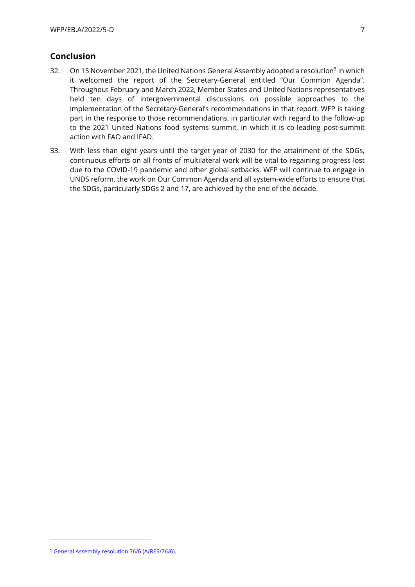### **Conclusion**

- 32. On 15 November 2021, the United Nations General Assembly adopted a resolution<sup>5</sup> in which it welcomed the report of the Secretary-General entitled "Our Common Agenda". Throughout February and March 2022, Member States and United Nations representatives held ten days of intergovernmental discussions on possible approaches to the implementation of the Secretary-General's recommendations in that report. WFP is taking part in the response to those recommendations, in particular with regard to the follow-up to the 2021 United Nations food systems summit, in which it is co-leading post-summit action with FAO and IFAD.
- 33. With less than eight years until the target year of 2030 for the attainment of the SDGs, continuous efforts on all fronts of multilateral work will be vital to regaining progress lost due to the COVID-19 pandemic and other global setbacks. WFP will continue to engage in UNDS reform, the work on Our Common Agenda and all system-wide efforts to ensure that the SDGs, particularly SDGs 2 and 17, are achieved by the end of the decade.

<sup>5</sup> [General Assembly resolution 76/6 \(A/RES/76/6\).](https://documents-dds-ny.un.org/doc/UNDOC/GEN/N21/342/14/PDF/N2134214.pdf?OpenElement)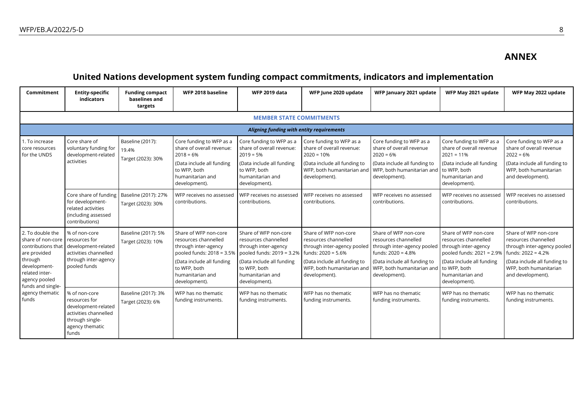## **ANNEX**

# **United Nations development system funding compact commitments, indicators and implementation**

| Commitment                                                                                                                                                     | <b>Entity-specific</b><br>indicators                                                                                          | <b>Funding compact</b><br>baselines and<br>targets | WFP 2018 baseline                                                                                                                                                                    | <b>WFP 2019 data</b>                                                                                                                                                                 | WFP June 2020 update                                                                                                                                                                | WFP January 2021 update                                                                                                                                                                          | WFP May 2021 update                                                                                                                                                  | WFP May 2022 update                                                                                                                                                                 |
|----------------------------------------------------------------------------------------------------------------------------------------------------------------|-------------------------------------------------------------------------------------------------------------------------------|----------------------------------------------------|--------------------------------------------------------------------------------------------------------------------------------------------------------------------------------------|--------------------------------------------------------------------------------------------------------------------------------------------------------------------------------------|-------------------------------------------------------------------------------------------------------------------------------------------------------------------------------------|--------------------------------------------------------------------------------------------------------------------------------------------------------------------------------------------------|----------------------------------------------------------------------------------------------------------------------------------------------------------------------|-------------------------------------------------------------------------------------------------------------------------------------------------------------------------------------|
|                                                                                                                                                                |                                                                                                                               |                                                    |                                                                                                                                                                                      | <b>MEMBER STATE COMMITMENTS</b>                                                                                                                                                      |                                                                                                                                                                                     |                                                                                                                                                                                                  |                                                                                                                                                                      |                                                                                                                                                                                     |
|                                                                                                                                                                |                                                                                                                               |                                                    |                                                                                                                                                                                      | Aligning funding with entity requirements                                                                                                                                            |                                                                                                                                                                                     |                                                                                                                                                                                                  |                                                                                                                                                                      |                                                                                                                                                                                     |
| Core share of<br>1. To increase<br>core resources<br>for the UNDS<br>activities                                                                                | voluntary funding for<br>development-related                                                                                  | Baseline (2017):<br>19.4%                          | Core funding to WFP as a<br>share of overall revenue:<br>$2018 = 6%$                                                                                                                 | Core funding to WFP as a<br>share of overall revenue:<br>$2019 = 5%$                                                                                                                 | Core funding to WFP as a<br>share of overall revenue:<br>$2020 = 10%$                                                                                                               | Core funding to WFP as a<br>share of overall revenue<br>$2020 = 6%$                                                                                                                              | Core funding to WFP as a<br>share of overall revenue<br>$2021 = 11%$                                                                                                 | Core funding to WFP as a<br>share of overall revenue<br>$2022 = 6%$                                                                                                                 |
|                                                                                                                                                                |                                                                                                                               | Target (2023): 30%                                 | (Data include all funding<br>to WFP, both<br>humanitarian and<br>development).                                                                                                       | (Data include all funding<br>to WFP, both<br>humanitarian and<br>development).                                                                                                       | (Data include all funding to<br>development).                                                                                                                                       | (Data include all funding to<br>WFP, both humanitarian and WFP, both humanitarian and to WFP, both<br>development).                                                                              | (Data include all funding<br>humanitarian and<br>development).                                                                                                       | (Data include all funding to<br>WFP, both humanitarian<br>and development).                                                                                                         |
|                                                                                                                                                                | Core share of funding<br>for development-<br>related activities<br>(including assessed<br>contributions)                      | Baseline (2017): 27%<br>Target (2023): 30%         | WFP receives no assessed<br>contributions.                                                                                                                                           | WFP receives no assessed<br>contributions.                                                                                                                                           | WFP receives no assessed<br>contributions.                                                                                                                                          | WFP receives no assessed<br>contributions.                                                                                                                                                       | WFP receives no assessed<br>contributions.                                                                                                                           | WFP receives no assessed<br>contributions.                                                                                                                                          |
| 2. To double the<br>share of non-core<br>contributions that<br>are provided<br>through<br>development-<br>related inter-<br>agency pooled<br>funds and single- | % of non-core<br>resources for<br>development-related<br>activities channelled<br>through inter-agency<br>pooled funds        | Baseline (2017): 5%<br>Target (2023): 10%          | Share of WFP non-core<br>resources channelled<br>through inter-agency<br>pooled funds: 2018 = 3.5%<br>(Data include all funding<br>to WFP, both<br>humanitarian and<br>development). | Share of WFP non-core<br>resources channelled<br>through inter-agency<br>pooled funds: 2019 = 3.2%<br>(Data include all funding<br>to WFP, both<br>humanitarian and<br>development). | Share of WFP non-core<br>resources channelled<br>through inter-agency pooled<br>funds: $2020 = 5.6%$<br>(Data include all funding to<br>WFP, both humanitarian and<br>development). | Share of WFP non-core<br>resources channelled<br>through inter-agency pooled<br>funds: $2020 = 4.8%$<br>(Data include all funding to<br>WFP, both humanitarian and to WFP, both<br>development). | Share of WFP non-core<br>resources channelled<br>through inter-agency<br>pooled funds: 2021 = 2.9%<br>(Data include all funding<br>humanitarian and<br>development). | Share of WFP non-core<br>resources channelled<br>through inter-agency pooled<br>funds: $2022 = 4.2%$<br>(Data include all funding to<br>WFP, both humanitarian<br>and development). |
| agency thematic<br>funds                                                                                                                                       | % of non-core<br>resources for<br>development-related<br>activities channelled<br>through single-<br>agency thematic<br>funds | Baseline (2017): 3%<br>Target (2023): 6%           | WFP has no thematic<br>funding instruments.                                                                                                                                          | WFP has no thematic<br>funding instruments.                                                                                                                                          | WFP has no thematic<br>funding instruments.                                                                                                                                         | WFP has no thematic<br>funding instruments.                                                                                                                                                      | WFP has no thematic<br>funding instruments.                                                                                                                          | WFP has no thematic<br>funding instruments.                                                                                                                                         |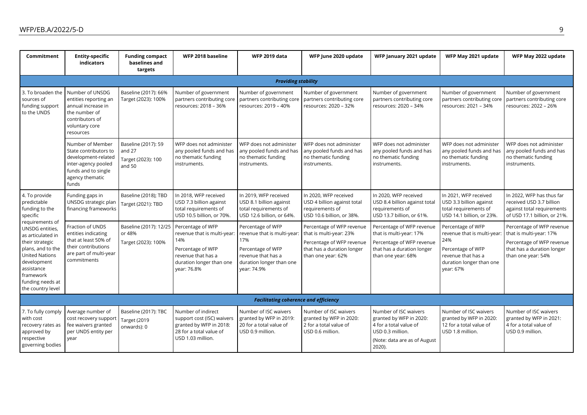| Commitment                                                                                                                                                                                                                                                                | <b>Entity-specific</b><br>indicators                                                                                                       | <b>Funding compact</b><br>baselines and<br>targets            | WFP 2018 baseline                                                                                                                             | <b>WFP 2019 data</b>                                                                                                                          | WFP June 2020 update                                                                                                                  | WFP January 2021 update                                                                                                                  | WFP May 2021 update                                                                                                                         | WFP May 2022 update                                                                                                                   |
|---------------------------------------------------------------------------------------------------------------------------------------------------------------------------------------------------------------------------------------------------------------------------|--------------------------------------------------------------------------------------------------------------------------------------------|---------------------------------------------------------------|-----------------------------------------------------------------------------------------------------------------------------------------------|-----------------------------------------------------------------------------------------------------------------------------------------------|---------------------------------------------------------------------------------------------------------------------------------------|------------------------------------------------------------------------------------------------------------------------------------------|---------------------------------------------------------------------------------------------------------------------------------------------|---------------------------------------------------------------------------------------------------------------------------------------|
|                                                                                                                                                                                                                                                                           |                                                                                                                                            |                                                               |                                                                                                                                               | <b>Providing stability</b>                                                                                                                    |                                                                                                                                       |                                                                                                                                          |                                                                                                                                             |                                                                                                                                       |
| 3. To broaden the<br>sources of<br>funding support<br>to the UNDS                                                                                                                                                                                                         | Number of UNSDG<br>entities reporting an<br>annual increase in<br>the number of<br>contributors of<br>voluntary core<br>resources          | Baseline (2017): 66%<br>Target (2023): 100%                   | Number of government<br>partners contributing core<br>resources: 2018 – 36%                                                                   | Number of government<br>partners contributing core<br>resources: 2019 – 40%                                                                   | Number of government<br>partners contributing core<br>resources: 2020 - 32%                                                           | Number of government<br>partners contributing core<br>resources: 2020 - 34%                                                              | Number of government<br>partners contributing core<br>resources: 2021 - 34%                                                                 | Number of government<br>partners contributing core<br>resources: 2022 - 26%                                                           |
|                                                                                                                                                                                                                                                                           | Number of Member<br>State contributors to<br>development-related<br>inter-agency pooled<br>funds and to single<br>agency thematic<br>funds | Baseline (2017): 59<br>and 27<br>Target (2023): 100<br>and 50 | WFP does not administer<br>any pooled funds and has<br>no thematic funding<br>instruments.                                                    | WFP does not administer<br>any pooled funds and has<br>no thematic funding<br>instruments.                                                    | WFP does not administer<br>any pooled funds and has<br>no thematic funding<br>instruments.                                            | WFP does not administer<br>any pooled funds and has<br>no thematic funding<br>instruments.                                               | WFP does not administer<br>any pooled funds and has<br>no thematic funding<br>instruments.                                                  | WFP does not administer<br>any pooled funds and has<br>no thematic funding<br>instruments.                                            |
| 4. To provide<br>predictable<br>funding to the<br>specific<br>requirements of<br>UNSDG entities,<br>as articulated in<br>their strategic<br>plans, and to the<br><b>United Nations</b><br>development<br>assistance<br>framework<br>funding needs at<br>the country level | Funding gaps in<br>UNSDG strategic plan<br>financing frameworks                                                                            | Baseline (2018); TBD<br>Target (2021): TBD                    | In 2018, WFP received<br>USD 7.3 billion against<br>total requirements of<br>USD 10.5 billion, or 70%.                                        | In 2019, WFP received<br>USD 8.1 billion against<br>total requirements of<br>USD 12.6 billion, or 64%.                                        | In 2020, WFP received<br>USD 4 billion against total<br>requirements of<br>USD 10.6 billion, or 38%.                                  | In 2020, WFP received<br>USD 8.4 billion against total<br>requirements of<br>USD 13.7 billion, or 61%.                                   | In 2021, WFP received<br>USD 3.3 billion against<br>total requirements of<br>USD 14.1 billion, or 23%.                                      | In 2022, WFP has thus far<br>received USD 3.7 billion<br>against total requirements<br>of USD 17.1 billion, or 21%.                   |
|                                                                                                                                                                                                                                                                           | Fraction of UNDS<br>entities indicating<br>that at least 50% of<br>their contributions<br>are part of multi-year<br>commitments            | Baseline (2017): 12/25<br>or 48%<br>Target (2023): 100%       | Percentage of WFP<br>revenue that is multi-year:<br>14%<br>Percentage of WFP<br>revenue that has a<br>duration longer than one<br>vear: 76.8% | Percentage of WFP<br>revenue that is multi-year:<br>17%<br>Percentage of WFP<br>revenue that has a<br>duration longer than one<br>vear: 74.9% | Percentage of WFP revenue<br>that is multi-year: 23%<br>Percentage of WFP revenue<br>that has a duration longer<br>than one year: 62% | Percentage of WFP revenue<br>that is multi-year: 17%<br>Percentage of WFP revenue<br>that has a duration longer<br>than one year: 68%    | Percentage of WFP<br>revenue that is multi-year:<br>24%<br>Percentage of WFP<br>revenue that has a<br>duration longer than one<br>year: 67% | Percentage of WFP revenue<br>that is multi-year: 17%<br>Percentage of WFP revenue<br>that has a duration longer<br>than one year: 54% |
|                                                                                                                                                                                                                                                                           |                                                                                                                                            |                                                               |                                                                                                                                               | <b>Facilitating coherence and efficiency</b>                                                                                                  |                                                                                                                                       |                                                                                                                                          |                                                                                                                                             |                                                                                                                                       |
| 7. To fully comply<br>with cost<br>recovery rates as<br>approved by<br>respective<br>governing bodies                                                                                                                                                                     | Average number of<br>cost recovery support<br>fee waivers granted<br>per UNDS entity per<br>year                                           | Baseline (2017): TBC<br>Target (2019<br>onwards): 0           | Number of indirect<br>support cost (ISC) waivers<br>granted by WFP in 2018:<br>28 for a total value of<br>USD 1.03 million.                   | Number of ISC waivers<br>granted by WFP in 2019:<br>20 for a total value of<br>USD 0.9 million.                                               | Number of ISC waivers<br>granted by WFP in 2020:<br>2 for a total value of<br>USD 0.6 million.                                        | Number of ISC waivers<br>granted by WFP in 2020:<br>4 for a total value of<br>USD 0.3 million.<br>(Note: data are as of August<br>2020). | Number of ISC waivers<br>granted by WFP in 2020:<br>12 for a total value of<br>USD 1.8 million.                                             | Number of ISC waivers<br>granted by WFP in 2021:<br>4 for a total value of<br>USD 0.9 million.                                        |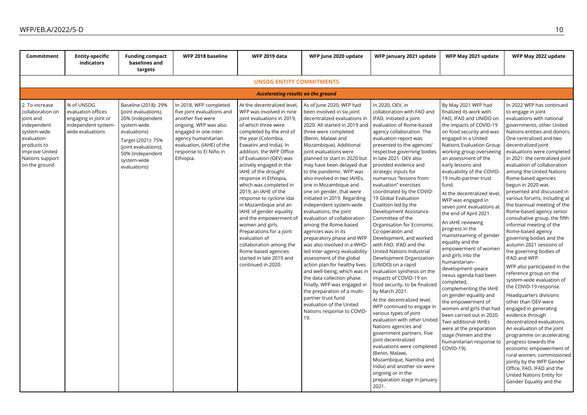| Commitment                                                                                                                                                       | <b>Entity-specific</b><br>indicators                                                                | <b>Funding compact</b><br>baselines and<br>targets                                                                                                                                               | WFP 2018 baseline                                                                                                                                                                                                      | <b>WFP 2019 data</b>                                                                                                                                                                                                                                                                                                                                                                                                                                                                                                                                                                                                                                        | WFP June 2020 update                                                                                                                                                                                                                                                                                                                                                                                                                                                                                                                                                                                                                                                                                                                                                                                                                                                                                                                                    | WFP January 2021 update                                                                                                                                                                                                                                                                                                                                                                                                                                                                                                                                                                                                                                                                                                                                                                                                                                                                                                                                                                                                                                                                                                                                         | WFP May 2021 update                                                                                                                                                                                                                                                                                                                                                                                                                                                                                                                                                                                                                                                                                                                                                                                                                                                                                                 | WFP May 2022 update                                                                                                                                                                                                                                                                                                                                                                                                                                                                                                                                                                                                                                                                                                                                                                                                                                                                                                                                                                                                                                                                                                                                                                       |
|------------------------------------------------------------------------------------------------------------------------------------------------------------------|-----------------------------------------------------------------------------------------------------|--------------------------------------------------------------------------------------------------------------------------------------------------------------------------------------------------|------------------------------------------------------------------------------------------------------------------------------------------------------------------------------------------------------------------------|-------------------------------------------------------------------------------------------------------------------------------------------------------------------------------------------------------------------------------------------------------------------------------------------------------------------------------------------------------------------------------------------------------------------------------------------------------------------------------------------------------------------------------------------------------------------------------------------------------------------------------------------------------------|---------------------------------------------------------------------------------------------------------------------------------------------------------------------------------------------------------------------------------------------------------------------------------------------------------------------------------------------------------------------------------------------------------------------------------------------------------------------------------------------------------------------------------------------------------------------------------------------------------------------------------------------------------------------------------------------------------------------------------------------------------------------------------------------------------------------------------------------------------------------------------------------------------------------------------------------------------|-----------------------------------------------------------------------------------------------------------------------------------------------------------------------------------------------------------------------------------------------------------------------------------------------------------------------------------------------------------------------------------------------------------------------------------------------------------------------------------------------------------------------------------------------------------------------------------------------------------------------------------------------------------------------------------------------------------------------------------------------------------------------------------------------------------------------------------------------------------------------------------------------------------------------------------------------------------------------------------------------------------------------------------------------------------------------------------------------------------------------------------------------------------------|---------------------------------------------------------------------------------------------------------------------------------------------------------------------------------------------------------------------------------------------------------------------------------------------------------------------------------------------------------------------------------------------------------------------------------------------------------------------------------------------------------------------------------------------------------------------------------------------------------------------------------------------------------------------------------------------------------------------------------------------------------------------------------------------------------------------------------------------------------------------------------------------------------------------|-------------------------------------------------------------------------------------------------------------------------------------------------------------------------------------------------------------------------------------------------------------------------------------------------------------------------------------------------------------------------------------------------------------------------------------------------------------------------------------------------------------------------------------------------------------------------------------------------------------------------------------------------------------------------------------------------------------------------------------------------------------------------------------------------------------------------------------------------------------------------------------------------------------------------------------------------------------------------------------------------------------------------------------------------------------------------------------------------------------------------------------------------------------------------------------------|
| <b>UNSDG ENTITY COMMITMENTS</b>                                                                                                                                  |                                                                                                     |                                                                                                                                                                                                  |                                                                                                                                                                                                                        |                                                                                                                                                                                                                                                                                                                                                                                                                                                                                                                                                                                                                                                             |                                                                                                                                                                                                                                                                                                                                                                                                                                                                                                                                                                                                                                                                                                                                                                                                                                                                                                                                                         |                                                                                                                                                                                                                                                                                                                                                                                                                                                                                                                                                                                                                                                                                                                                                                                                                                                                                                                                                                                                                                                                                                                                                                 |                                                                                                                                                                                                                                                                                                                                                                                                                                                                                                                                                                                                                                                                                                                                                                                                                                                                                                                     |                                                                                                                                                                                                                                                                                                                                                                                                                                                                                                                                                                                                                                                                                                                                                                                                                                                                                                                                                                                                                                                                                                                                                                                           |
|                                                                                                                                                                  |                                                                                                     |                                                                                                                                                                                                  |                                                                                                                                                                                                                        | <b>Accelerating results on the ground</b>                                                                                                                                                                                                                                                                                                                                                                                                                                                                                                                                                                                                                   |                                                                                                                                                                                                                                                                                                                                                                                                                                                                                                                                                                                                                                                                                                                                                                                                                                                                                                                                                         |                                                                                                                                                                                                                                                                                                                                                                                                                                                                                                                                                                                                                                                                                                                                                                                                                                                                                                                                                                                                                                                                                                                                                                 |                                                                                                                                                                                                                                                                                                                                                                                                                                                                                                                                                                                                                                                                                                                                                                                                                                                                                                                     |                                                                                                                                                                                                                                                                                                                                                                                                                                                                                                                                                                                                                                                                                                                                                                                                                                                                                                                                                                                                                                                                                                                                                                                           |
| 2. To increase<br>collaboration on<br>joint and<br>independent<br>system-wide<br>evaluation<br>products to<br>improve United<br>Nations support<br>on the ground | % of UNSDG<br>evaluation offices<br>engaging in joint or<br>independent system-<br>wide evaluations | Baseline (2018): 29%<br>(joint evaluations),<br>20% (independent<br>system-wide<br>evaluations)<br>Target (2021): 75%<br>(joint evaluations),<br>50% (independent<br>system-wide<br>evaluations) | In 2018, WFP completed<br>five joint evaluations and<br>another five were<br>ongoing. WFP was also<br>engaged in one inter-<br>agency humanitarian<br>evaluation, (IAHE) of the<br>response to El Niño in<br>Ethiopia. | At the decentralized level,<br>WFP was involved in nine<br>joint evaluations in 2019,<br>of which three were<br>completed by the end of<br>the year (Colombia,<br>Eswatini and India). In<br>addition, the WFP Office<br>of Evaluation (OEV) was<br>actively engaged in the<br>IAHE of the drought<br>response in Ethiopia,<br>which was completed in<br>2019, an IAHE of the<br>response to cyclone Idai<br>in Mozambique and an<br>IAHE of gender equality<br>and the empowerment of<br>women and girls.<br>Preparations for a joint<br>evaluation of<br>collaboration among the<br>Rome-based agencies<br>started in late 2019 and<br>continued in 2020. | As of June 2020, WFP had<br>been involved in six joint<br>decentralized evaluations in<br>2020. All started in 2019 and<br>three were completed<br>(Benin, Malawi and<br>Mozambique). Additional<br>joint evaluations were<br>planned to start in 2020 but<br>may have been delayed due<br>to the pandemic. WFP was<br>also involved in two IAHEs,<br>one in Mozambique and<br>one on gender, that were<br>initiated in 2019. Regarding<br>independent system-wide<br>evaluations, the joint<br>evaluation of collaboration<br>among the Rome-based<br>agencies was in its<br>preparatory phase and WFP<br>was also involved in a WHO-<br>led inter-agency evaluability<br>assessment of the global<br>action plan for healthy lives<br>and well-being, which was in<br>the data collection phase.<br>Finally, WFP was engaged in<br>the preparation of a multi-<br>partner trust fund<br>evaluation of the United<br>Nations response to COVID-<br>19. | In 2020, OEV, in<br>collaboration with FAO and<br>IFAD, initiated a joint<br>evaluation of Rome-based<br>agency collaboration. The<br>evaluation report was<br>presented to the agencies'<br>respective governing bodies<br>in late 2021. OEV also<br>provided evidence and<br>strategic inputs for<br>numerous "lessons from<br>evaluation" exercises<br>coordinated by the COVID-<br>19 Global Evaluation<br>Coalition led by the<br>Development Assistance<br>Committee of the<br>Organisation for Economic<br>Co-operation and<br>Development, and worked<br>with FAO, IFAD and the<br>United Nations Industrial<br>Development Organization<br>(UNIDO) on a rapid<br>evaluation synthesis on the<br>impacts of COVID-19 on<br>food security, to be finalized<br>by March 2021.<br>At the decentralized level,<br>WFP continued to engage in<br>various types of joint<br>evaluation with other United<br>Nations agencies and<br>government partners. Five<br>joint decentralized<br>evaluations were completed<br>(Benin, Malawi,<br>Mozambique, Namibia and<br>India) and another six were<br>ongoing or in the<br>preparation stage in January<br>2021. | By May 2021 WFP had<br>finalized its work with<br>FAO, IFAD and UNIDO on<br>the impacts of COVID-19<br>on food security and was<br>engaged in a United<br>Nations Evaluation Group<br>working group overseeing<br>an assessment of the<br>early lessons and<br>evaluability of the COVID-<br>19 multi-partner trust<br>fund.<br>At the decentralized level,<br>WFP was engaged in<br>seven joint evaluations at<br>the end of April 2021.<br>An IAHE reviewing<br>progress in the<br>mainstreaming of gender<br>equality and the<br>empowerment of women<br>and girls into the<br>humanitarian-<br>development-peace<br>nexus agenda had been<br>completed,<br>complementing the IAHE<br>on gender equality and<br>the empowerment of<br>women and girls that had<br>been carried out in 2020.<br>Two additional IAHEs<br>were at the preparation<br>stage (Yemen and the<br>humanitarian response to<br>COVID-19). | In 2022 WFP has continued<br>to engage in joint<br>evaluations with national<br>governments, other United<br>Nations entities and donors.<br>One centralized and two<br>decentralized joint<br>evaluations were completed<br>in 2021: the centralized joint<br>evaluation of collaboration<br>among the United Nations<br>Rome-based agencies<br>begun in 2020 was<br>presented and discussed in<br>various forums, including at<br>the biannual meeting of the<br>Rome-based agency senior<br>consultative group, the fifth<br>informal meeting of the<br>Rome-based agency<br>governing bodies and the<br>autumn 2021 sessions of<br>the governing bodies of<br>IFAD and WFP.<br>WFP also participated in the<br>reference group on the<br>system-wide evaluation of<br>the COVID-19 response.<br>Headquarters divisions<br>other than OEV were<br>engaged in generating<br>evidence through<br>decentralized evaluations.<br>An evaluation of the joint<br>programme on accelerating<br>progress towards the<br>economic empowerment of<br>rural women, commissioned<br>jointly by the WFP Gender<br>Office, FAO, IFAD and the<br>United Nations Entity for<br>Gender Equality and the |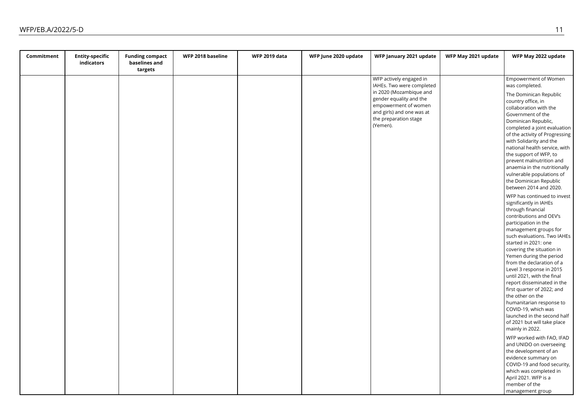| Commitment | <b>Entity-specific</b><br>indicators | <b>Funding compact</b><br>baselines and | WFP 2018 baseline | <b>WFP 2019 data</b> | WFP June 2020 update | WFP January 2021 update                                                                                           | WFP May 2021 update | WFP May 2022 update                                                                                                                                                                                                                                                                                                                                                                                                                                                                                                                                           |
|------------|--------------------------------------|-----------------------------------------|-------------------|----------------------|----------------------|-------------------------------------------------------------------------------------------------------------------|---------------------|---------------------------------------------------------------------------------------------------------------------------------------------------------------------------------------------------------------------------------------------------------------------------------------------------------------------------------------------------------------------------------------------------------------------------------------------------------------------------------------------------------------------------------------------------------------|
|            |                                      | targets                                 |                   |                      |                      |                                                                                                                   |                     |                                                                                                                                                                                                                                                                                                                                                                                                                                                                                                                                                               |
|            |                                      |                                         |                   |                      |                      | WFP actively engaged in<br>IAHEs. Two were completed<br>in 2020 (Mozambique and                                   |                     | <b>Empowerment of Women</b><br>was completed.                                                                                                                                                                                                                                                                                                                                                                                                                                                                                                                 |
|            |                                      |                                         |                   |                      |                      | gender equality and the<br>empowerment of women<br>and girls) and one was at<br>the preparation stage<br>(Yemen). |                     | The Dominican Republic<br>country office, in<br>collaboration with the<br>Government of the<br>Dominican Republic,<br>completed a joint evaluation<br>of the activity of Progressing<br>with Solidarity and the<br>national health service, with<br>the support of WFP, to<br>prevent malnutrition and<br>anaemia in the nutritionally<br>vulnerable populations of                                                                                                                                                                                           |
|            |                                      |                                         |                   |                      |                      |                                                                                                                   |                     | the Dominican Republic<br>between 2014 and 2020.                                                                                                                                                                                                                                                                                                                                                                                                                                                                                                              |
|            |                                      |                                         |                   |                      |                      |                                                                                                                   |                     | WFP has continued to invest<br>significantly in IAHEs<br>through financial<br>contributions and OEV's<br>participation in the<br>management groups for<br>such evaluations. Two IAHEs<br>started in 2021: one<br>covering the situation in<br>Yemen during the period<br>from the declaration of a<br>Level 3 response in 2015<br>until 2021, with the final<br>report disseminated in the<br>first quarter of 2022; and<br>the other on the<br>humanitarian response to<br>COVID-19, which was<br>launched in the second half<br>of 2021 but will take place |
|            |                                      |                                         |                   |                      |                      |                                                                                                                   |                     | mainly in 2022.<br>WFP worked with FAO, IFAD<br>and UNIDO on overseeing<br>the development of an<br>evidence summary on<br>COVID-19 and food security,                                                                                                                                                                                                                                                                                                                                                                                                        |
|            |                                      |                                         |                   |                      |                      |                                                                                                                   |                     | which was completed in<br>April 2021. WFP is a<br>member of the<br>management group                                                                                                                                                                                                                                                                                                                                                                                                                                                                           |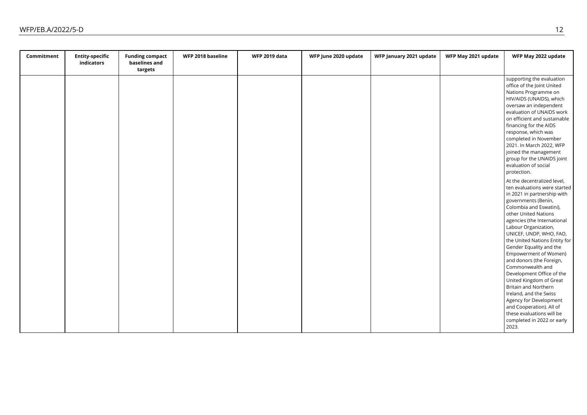| Commitment | <b>Entity-specific</b><br>indicators | <b>Funding compact</b><br>baselines and | WFP 2018 baseline | <b>WFP 2019 data</b> | WFP June 2020 update | WFP January 2021 update | WFP May 2021 update | WFP May 2022 update                                 |
|------------|--------------------------------------|-----------------------------------------|-------------------|----------------------|----------------------|-------------------------|---------------------|-----------------------------------------------------|
|            |                                      | targets                                 |                   |                      |                      |                         |                     |                                                     |
|            |                                      |                                         |                   |                      |                      |                         |                     | supporting the evaluation                           |
|            |                                      |                                         |                   |                      |                      |                         |                     | office of the Joint United                          |
|            |                                      |                                         |                   |                      |                      |                         |                     | Nations Programme on                                |
|            |                                      |                                         |                   |                      |                      |                         |                     | HIV/AIDS (UNAIDS), which                            |
|            |                                      |                                         |                   |                      |                      |                         |                     | oversaw an independent<br>evaluation of UNAIDS work |
|            |                                      |                                         |                   |                      |                      |                         |                     | on efficient and sustainable                        |
|            |                                      |                                         |                   |                      |                      |                         |                     | financing for the AIDS                              |
|            |                                      |                                         |                   |                      |                      |                         |                     | response, which was                                 |
|            |                                      |                                         |                   |                      |                      |                         |                     | completed in November                               |
|            |                                      |                                         |                   |                      |                      |                         |                     | 2021. In March 2022, WFP                            |
|            |                                      |                                         |                   |                      |                      |                         |                     | joined the management                               |
|            |                                      |                                         |                   |                      |                      |                         |                     | group for the UNAIDS joint                          |
|            |                                      |                                         |                   |                      |                      |                         |                     | evaluation of social                                |
|            |                                      |                                         |                   |                      |                      |                         |                     | protection.                                         |
|            |                                      |                                         |                   |                      |                      |                         |                     | At the decentralized level,                         |
|            |                                      |                                         |                   |                      |                      |                         |                     | ten evaluations were started                        |
|            |                                      |                                         |                   |                      |                      |                         |                     | in 2021 in partnership with                         |
|            |                                      |                                         |                   |                      |                      |                         |                     | governments (Benin,                                 |
|            |                                      |                                         |                   |                      |                      |                         |                     | Colombia and Eswatini),                             |
|            |                                      |                                         |                   |                      |                      |                         |                     | other United Nations                                |
|            |                                      |                                         |                   |                      |                      |                         |                     | agencies (the International                         |
|            |                                      |                                         |                   |                      |                      |                         |                     | Labour Organization,                                |
|            |                                      |                                         |                   |                      |                      |                         |                     | UNICEF, UNDP, WHO, FAO,                             |
|            |                                      |                                         |                   |                      |                      |                         |                     | the United Nations Entity for                       |
|            |                                      |                                         |                   |                      |                      |                         |                     | Gender Equality and the                             |
|            |                                      |                                         |                   |                      |                      |                         |                     | Empowerment of Women)                               |
|            |                                      |                                         |                   |                      |                      |                         |                     | and donors (the Foreign,                            |
|            |                                      |                                         |                   |                      |                      |                         |                     | Commonwealth and                                    |
|            |                                      |                                         |                   |                      |                      |                         |                     | Development Office of the                           |
|            |                                      |                                         |                   |                      |                      |                         |                     | United Kingdom of Great                             |
|            |                                      |                                         |                   |                      |                      |                         |                     | Britain and Northern                                |
|            |                                      |                                         |                   |                      |                      |                         |                     | Ireland, and the Swiss                              |
|            |                                      |                                         |                   |                      |                      |                         |                     | Agency for Development                              |
|            |                                      |                                         |                   |                      |                      |                         |                     | and Cooperation). All of                            |
|            |                                      |                                         |                   |                      |                      |                         |                     | these evaluations will be                           |
|            |                                      |                                         |                   |                      |                      |                         |                     | completed in 2022 or early                          |
|            |                                      |                                         |                   |                      |                      |                         |                     | 2023.                                               |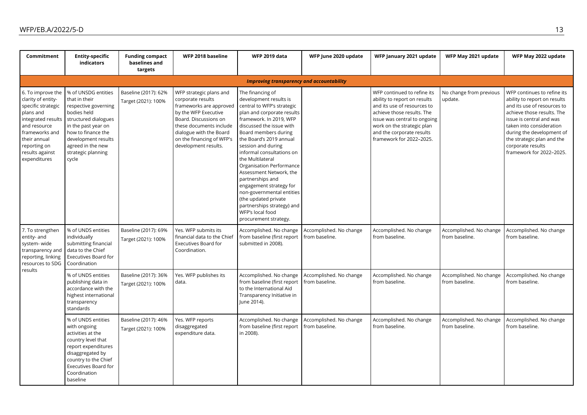| Commitment                                                                                                                                                                       | <b>Entity-specific</b><br>indicators                                                                                                                                                                                                          | <b>Funding compact</b><br>baselines and<br>targets | WFP 2018 baseline                                                                                                                                                                                                                   | <b>WFP 2019 data</b>                                                                                                                                                                                                                                                                                                                                                                                                                                                                                                          | WFP June 2020 update                      | WFP January 2021 update                                                                                                                                                                                                                         | WFP May 2021 update                       | WFP May 2022 update                                                                                                                                                                                                                                                                          |
|----------------------------------------------------------------------------------------------------------------------------------------------------------------------------------|-----------------------------------------------------------------------------------------------------------------------------------------------------------------------------------------------------------------------------------------------|----------------------------------------------------|-------------------------------------------------------------------------------------------------------------------------------------------------------------------------------------------------------------------------------------|-------------------------------------------------------------------------------------------------------------------------------------------------------------------------------------------------------------------------------------------------------------------------------------------------------------------------------------------------------------------------------------------------------------------------------------------------------------------------------------------------------------------------------|-------------------------------------------|-------------------------------------------------------------------------------------------------------------------------------------------------------------------------------------------------------------------------------------------------|-------------------------------------------|----------------------------------------------------------------------------------------------------------------------------------------------------------------------------------------------------------------------------------------------------------------------------------------------|
|                                                                                                                                                                                  |                                                                                                                                                                                                                                               |                                                    |                                                                                                                                                                                                                                     | <b>Improving transparency and accountability</b>                                                                                                                                                                                                                                                                                                                                                                                                                                                                              |                                           |                                                                                                                                                                                                                                                 |                                           |                                                                                                                                                                                                                                                                                              |
| clarity of entity-<br>specific strategic<br>plans and<br>integrated results<br>and resource<br>frameworks and<br>their annual<br>reporting on<br>results against<br>expenditures | 6. To improve the % of UNSDG entities<br>that in their<br>respective governing<br>bodies held<br>structured dialogues<br>in the past year on<br>how to finance the<br>development results<br>agreed in the new<br>strategic planning<br>cycle | Baseline (2017): 62%<br>Target (2021): 100%        | WFP strategic plans and<br>corporate results<br>frameworks are approved<br>by the WFP Executive<br>Board. Discussions on<br>these documents include<br>dialogue with the Board<br>on the financing of WFP's<br>development results. | The financing of<br>development results is<br>central to WFP's strategic<br>plan and corporate results<br>framework. In 2019, WFP<br>discussed the issue with<br>Board members during<br>the Board's 2019 annual<br>session and during<br>informal consultations on<br>the Multilateral<br>Organisation Performance<br>Assessment Network, the<br>partnerships and<br>engagement strategy for<br>non-governmental entities<br>(the updated private<br>partnerships strategy) and<br>WFP's local food<br>procurement strategy. |                                           | WFP continued to refine its<br>ability to report on results<br>and its use of resources to<br>achieve those results. The<br>issue was central to ongoing<br>work on the strategic plan<br>and the corporate results<br>framework for 2022-2025. | No change from previous<br>update.        | WFP continues to refine its<br>ability to report on results<br>and its use of resources to<br>achieve those results. The<br>issue is central and was<br>taken into consideration<br>during the development of<br>the strategic plan and the<br>corporate results<br>framework for 2022-2025. |
| 7. To strengthen<br>entity- and<br>system-wide<br>transparency and<br>reporting, linking<br>resources to SDG                                                                     | % of UNDS entities<br>individually<br>submitting financial<br>data to the Chief<br><b>Executives Board for</b><br>Coordination                                                                                                                | Baseline (2017): 69%<br>Target (2021): 100%        | Yes. WFP submits its<br>financial data to the Chief<br><b>Executives Board for</b><br>Coordination.                                                                                                                                 | Accomplished. No change<br>from baseline (first report<br>submitted in 2008).                                                                                                                                                                                                                                                                                                                                                                                                                                                 | Accomplished. No change<br>from baseline. | Accomplished. No change<br>from baseline.                                                                                                                                                                                                       | Accomplished. No change<br>from baseline. | Accomplished. No change<br>from baseline.                                                                                                                                                                                                                                                    |
| results                                                                                                                                                                          | % of UNDS entities<br>publishing data in<br>accordance with the<br>highest international<br>transparency<br>standards                                                                                                                         | Baseline (2017): 36%<br>Target (2021): 100%        | Yes. WFP publishes its<br>data.                                                                                                                                                                                                     | Accomplished. No change<br>from baseline (first report<br>to the International Aid<br>Transparency Initiative in<br>June 2014).                                                                                                                                                                                                                                                                                                                                                                                               | Accomplished. No change<br>from baseline. | Accomplished. No change<br>from baseline.                                                                                                                                                                                                       | Accomplished. No change<br>from baseline. | Accomplished. No change<br>from baseline.                                                                                                                                                                                                                                                    |
|                                                                                                                                                                                  | % of UNDS entities<br>with ongoing<br>activities at the<br>country level that<br>report expenditures<br>disaggregated by<br>country to the Chief<br><b>Executives Board for</b><br>Coordination<br>baseline                                   | Baseline (2017): 46%<br>Target (2021): 100%        | Yes. WFP reports<br>disaggregated<br>expenditure data.                                                                                                                                                                              | Accomplished. No change<br>from baseline (first report<br>in 2008).                                                                                                                                                                                                                                                                                                                                                                                                                                                           | Accomplished. No change<br>from baseline. | Accomplished. No change<br>from baseline.                                                                                                                                                                                                       | Accomplished. No change<br>from baseline. | Accomplished. No change<br>from baseline.                                                                                                                                                                                                                                                    |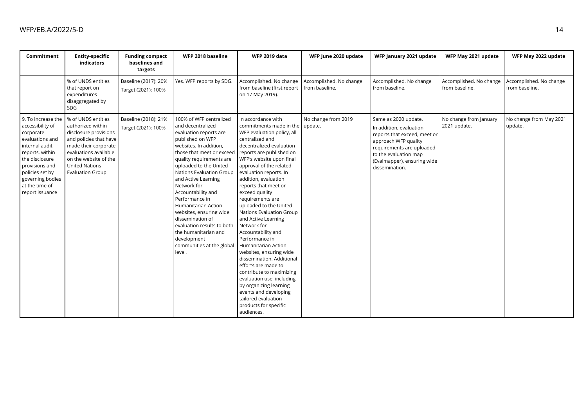| Commitment                                                                                                                                                                                                                  | <b>Entity-specific</b><br>indicators                                                                                                                                                                                     | <b>Funding compact</b><br>baselines and<br>targets | WFP 2018 baseline                                                                                                                                                                                                                                                                                                                                                                                                                                                                                   | <b>WFP 2019 data</b>                                                                                                                                                                                                                                                                                                                                                                                                                                                                                                                                                                                                                                                                                                                              | WFP June 2020 update                      | WFP January 2021 update                                                                                                                                                                                        | WFP May 2021 update                       | WFP May 2022 update                       |
|-----------------------------------------------------------------------------------------------------------------------------------------------------------------------------------------------------------------------------|--------------------------------------------------------------------------------------------------------------------------------------------------------------------------------------------------------------------------|----------------------------------------------------|-----------------------------------------------------------------------------------------------------------------------------------------------------------------------------------------------------------------------------------------------------------------------------------------------------------------------------------------------------------------------------------------------------------------------------------------------------------------------------------------------------|---------------------------------------------------------------------------------------------------------------------------------------------------------------------------------------------------------------------------------------------------------------------------------------------------------------------------------------------------------------------------------------------------------------------------------------------------------------------------------------------------------------------------------------------------------------------------------------------------------------------------------------------------------------------------------------------------------------------------------------------------|-------------------------------------------|----------------------------------------------------------------------------------------------------------------------------------------------------------------------------------------------------------------|-------------------------------------------|-------------------------------------------|
|                                                                                                                                                                                                                             | % of UNDS entities<br>that report on<br>expenditures<br>disaggregated by<br><b>SDG</b>                                                                                                                                   | Baseline (2017): 20%<br>Target (2021): 100%        | Yes. WFP reports by SDG.                                                                                                                                                                                                                                                                                                                                                                                                                                                                            | Accomplished. No change<br>from baseline (first report<br>on 17 May 2019).                                                                                                                                                                                                                                                                                                                                                                                                                                                                                                                                                                                                                                                                        | Accomplished. No change<br>from baseline. | Accomplished. No change<br>from baseline.                                                                                                                                                                      | Accomplished. No change<br>from baseline. | Accomplished. No change<br>from baseline. |
| 9. To increase the<br>accessibility of<br>corporate<br>evaluations and<br>internal audit<br>reports, within<br>the disclosure<br>provisions and<br>policies set by<br>governing bodies<br>at the time of<br>report issuance | % of UNDS entities<br>authorized within<br>disclosure provisions<br>and policies that have<br>made their corporate<br>evaluations available<br>on the website of the<br><b>United Nations</b><br><b>Evaluation Group</b> | Baseline (2018): 21%<br>Target (2021): 100%        | 100% of WFP centralized<br>and decentralized<br>evaluation reports are<br>published on WFP<br>websites. In addition,<br>those that meet or exceed<br>quality requirements are<br>uploaded to the United<br>Nations Evaluation Group<br>and Active Learning<br>Network for<br>Accountability and<br>Performance in<br>Humanitarian Action<br>websites, ensuring wide<br>dissemination of<br>evaluation results to both<br>the humanitarian and<br>development<br>communities at the global<br>level. | In accordance with<br>commitments made in the<br>WFP evaluation policy, all<br>centralized and<br>decentralized evaluation<br>reports are published on<br>WFP's website upon final<br>approval of the related<br>evaluation reports. In<br>addition, evaluation<br>reports that meet or<br>exceed quality<br>requirements are<br>uploaded to the United<br>Nations Evaluation Group<br>and Active Learning<br>Network for<br>Accountability and<br>Performance in<br>Humanitarian Action<br>websites, ensuring wide<br>dissemination. Additional<br>efforts are made to<br>contribute to maximizing<br>evaluation use, including<br>by organizing learning<br>events and developing<br>tailored evaluation<br>products for specific<br>audiences. | No change from 2019<br>update.            | Same as 2020 update.<br>In addition, evaluation<br>reports that exceed, meet or<br>approach WFP quality<br>requirements are uploaded<br>to the evaluation map<br>(Evalmapper), ensuring wide<br>dissemination. | No change from January<br>2021 update.    | No change from May 2021<br>update.        |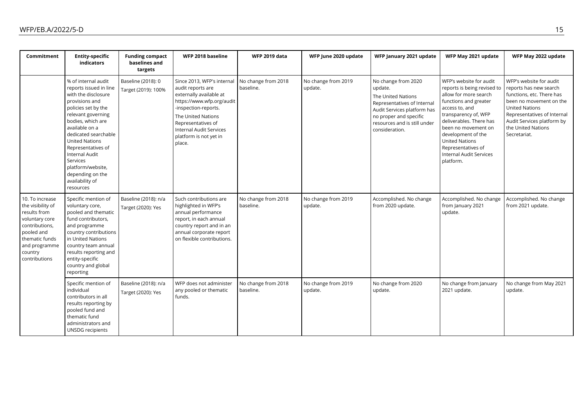| Commitment                                                                                                                                                            | <b>Entity-specific</b><br>indicators                                                                                                                                                                                                                                                                                                                            | <b>Funding compact</b><br>baselines and<br>targets | WFP 2018 baseline                                                                                                                                                                                                                                 | <b>WFP 2019 data</b>             | WFP June 2020 update           | WFP January 2021 update                                                                                                                                                                        | WFP May 2021 update                                                                                                                                                                                                                                                                                               | WFP May 2022 update                                                                                                                                                                                                                   |
|-----------------------------------------------------------------------------------------------------------------------------------------------------------------------|-----------------------------------------------------------------------------------------------------------------------------------------------------------------------------------------------------------------------------------------------------------------------------------------------------------------------------------------------------------------|----------------------------------------------------|---------------------------------------------------------------------------------------------------------------------------------------------------------------------------------------------------------------------------------------------------|----------------------------------|--------------------------------|------------------------------------------------------------------------------------------------------------------------------------------------------------------------------------------------|-------------------------------------------------------------------------------------------------------------------------------------------------------------------------------------------------------------------------------------------------------------------------------------------------------------------|---------------------------------------------------------------------------------------------------------------------------------------------------------------------------------------------------------------------------------------|
|                                                                                                                                                                       | % of internal audit<br>reports issued in line<br>with the disclosure<br>provisions and<br>policies set by the<br>relevant governing<br>bodies, which are<br>available on a<br>dedicated searchable<br><b>United Nations</b><br>Representatives of<br><b>Internal Audit</b><br>Services<br>platform/website,<br>depending on the<br>availability of<br>resources | Baseline (2018): 0<br>Target (2019): 100%          | Since 2013, WFP's internal<br>audit reports are<br>externally available at<br>https://www.wfp.org/audit<br>-inspection-reports.<br>The United Nations<br>Representatives of<br><b>Internal Audit Services</b><br>platform is not yet in<br>place. | No change from 2018<br>baseline. | No change from 2019<br>update. | No change from 2020<br>update.<br>The United Nations<br>Representatives of Internal<br>Audit Services platform has<br>no proper and specific<br>resources and is still under<br>consideration. | WFP's website for audit<br>reports is being revised to<br>allow for more search<br>functions and greater<br>access to, and<br>transparency of, WFP<br>deliverables. There has<br>been no movement on<br>development of the<br><b>United Nations</b><br>Representatives of<br>Internal Audit Services<br>platform. | WFP's website for audit<br>reports has new search<br>functions, etc. There has<br>been no movement on the<br><b>United Nations</b><br>Representatives of Internal<br>Audit Services platform by<br>the United Nations<br>Secretariat. |
| 10. To increase<br>the visibility of<br>results from<br>voluntary core<br>contributions,<br>pooled and<br>thematic funds<br>and programme<br>country<br>contributions | Specific mention of<br>voluntary core,<br>pooled and thematic<br>fund contributors,<br>and programme<br>country contributions<br>in United Nations<br>country team annual<br>results reporting and<br>entity-specific<br>country and global<br>reporting                                                                                                        | Baseline (2018): n/a<br>Target (2020): Yes         | Such contributions are<br>highlighted in WFP's<br>annual performance<br>report, in each annual<br>country report and in an<br>annual corporate report<br>on flexible contributions.                                                               | No change from 2018<br>baseline. | No change from 2019<br>update. | Accomplished. No change<br>from 2020 update.                                                                                                                                                   | Accomplished. No change<br>from January 2021<br>update.                                                                                                                                                                                                                                                           | Accomplished. No change<br>from 2021 update.                                                                                                                                                                                          |
|                                                                                                                                                                       | Specific mention of<br>individual<br>contributors in all<br>results reporting by<br>pooled fund and<br>thematic fund<br>administrators and<br><b>UNSDG</b> recipients                                                                                                                                                                                           | Baseline (2018): n/a<br>Target (2020): Yes         | WFP does not administer<br>any pooled or thematic<br>funds.                                                                                                                                                                                       | No change from 2018<br>baseline. | No change from 2019<br>update. | No change from 2020<br>update.                                                                                                                                                                 | No change from January<br>2021 update.                                                                                                                                                                                                                                                                            | No change from May 2021<br>update.                                                                                                                                                                                                    |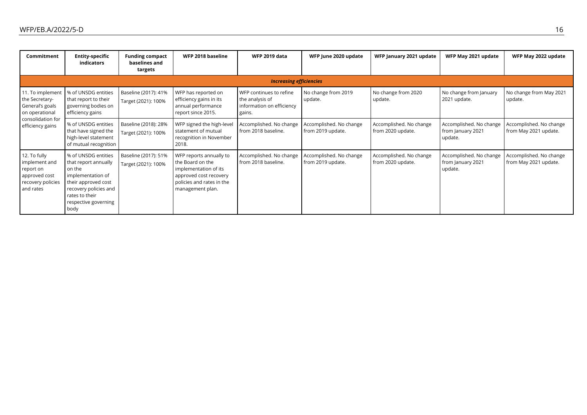| Commitment                                                                                                       | <b>Entity-specific</b><br>indicators                                                                                                                                         | <b>Funding compact</b><br>baselines and<br>targets | WFP 2018 baseline                                                                                                                               | <b>WFP 2019 data</b>                                                              | WFP June 2020 update                         | WFP January 2021 update                      | WFP May 2021 update                                     | WFP May 2022 update                              |
|------------------------------------------------------------------------------------------------------------------|------------------------------------------------------------------------------------------------------------------------------------------------------------------------------|----------------------------------------------------|-------------------------------------------------------------------------------------------------------------------------------------------------|-----------------------------------------------------------------------------------|----------------------------------------------|----------------------------------------------|---------------------------------------------------------|--------------------------------------------------|
|                                                                                                                  | <b>Increasing efficiencies</b>                                                                                                                                               |                                                    |                                                                                                                                                 |                                                                                   |                                              |                                              |                                                         |                                                  |
| 11. To implement<br>the Secretary-<br>General's goals<br>on operational<br>consolidation for<br>efficiency gains | % of UNSDG entities<br>that report to their<br>governing bodies on<br>efficiency gains                                                                                       | Baseline (2017): 41%<br>Target (2021): 100%        | WFP has reported on<br>efficiency gains in its<br>annual performance<br>report since 2015.                                                      | WFP continues to refine<br>the analysis of<br>information on efficiency<br>gains. | No change from 2019<br>update.               | No change from 2020<br>update.               | No change from January<br>2021 update.                  | No change from May 2021<br>update.               |
|                                                                                                                  | % of UNSDG entities<br>that have signed the<br>high-level statement<br>of mutual recognition                                                                                 | Baseline (2018): 28%<br>Target (2021): 100%        | WFP signed the high-level<br>statement of mutual<br>recognition in November<br>2018.                                                            | Accomplished. No change<br>from 2018 baseline.                                    | Accomplished. No change<br>from 2019 update. | Accomplished. No change<br>from 2020 update. | Accomplished. No change<br>from January 2021<br>update. | Accomplished. No change<br>from May 2021 update. |
| 12. To fully<br>implement and<br>report on<br>approved cost<br>recovery policies<br>and rates                    | % of UNSDG entities<br>that report annually<br>on the<br>implementation of<br>their approved cost<br>recovery policies and<br>rates to their<br>respective governing<br>body | Baseline (2017): 51%<br>Target (2021): 100%        | WFP reports annually to<br>the Board on the<br>implementation of its<br>approved cost recovery<br>policies and rates in the<br>management plan. | Accomplished. No change<br>from 2018 baseline.                                    | Accomplished. No change<br>from 2019 update. | Accomplished. No change<br>from 2020 update. | Accomplished. No change<br>from January 2021<br>update. | Accomplished. No change<br>from May 2021 update. |